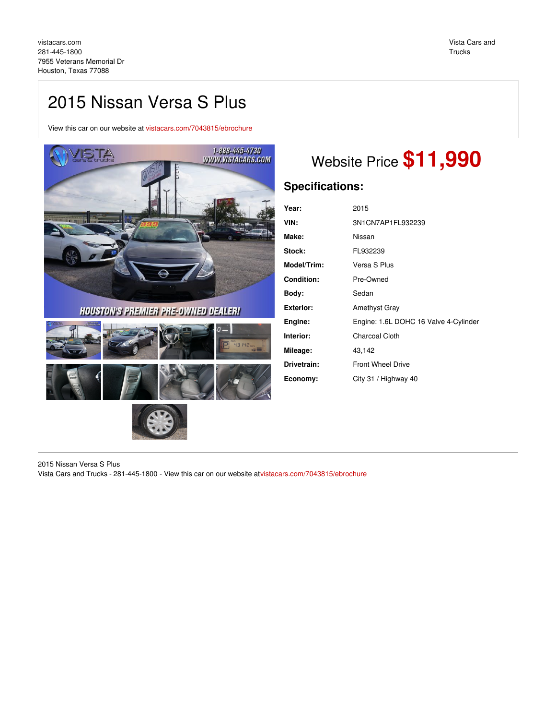## 2015 Nissan Versa S Plus

View this car on our website at [vistacars.com/7043815/ebrochure](https://vistacars.com/vehicle/7043815/2015-nissan-versa-s-plus-houston-texas-77088/7043815/ebrochure)



**HOUSTON'S PREMIER PRE-DWNED DEALER!** 





# Website Price **\$11,990**

## **Specifications:**

| Year:             | 2015                                  |
|-------------------|---------------------------------------|
| VIN:              | 3N1CN7AP1FL932239                     |
| Make:             | Nissan                                |
| Stock:            | FL932239                              |
| Model/Trim:       | Versa S Plus                          |
| <b>Condition:</b> | Pre-Owned                             |
| Body:             | Sedan                                 |
| <b>Exterior:</b>  | <b>Amethyst Gray</b>                  |
| Engine:           | Engine: 1.6L DOHC 16 Valve 4-Cylinder |
| Interior:         | <b>Charcoal Cloth</b>                 |
| Mileage:          | 43,142                                |
| Drivetrain:       | <b>Front Wheel Drive</b>              |
| Economy:          | City 31 / Highway 40                  |

2015 Nissan Versa S Plus Vista Cars and Trucks - 281-445-1800 - View this car on our website a[tvistacars.com/7043815/ebrochure](https://vistacars.com/vehicle/7043815/2015-nissan-versa-s-plus-houston-texas-77088/7043815/ebrochure)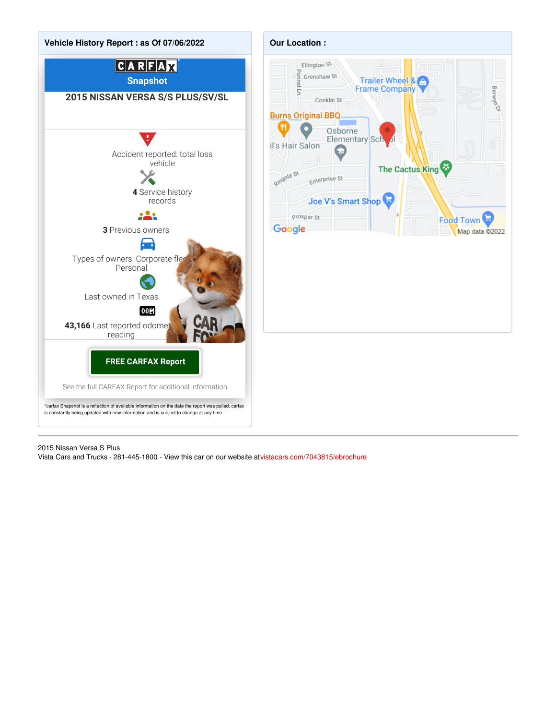

## 2015 Nissan Versa S Plus

Vista Cars and Trucks - 281-445-1800 - View this car on our website a[tvistacars.com/7043815/ebrochure](https://vistacars.com/vehicle/7043815/2015-nissan-versa-s-plus-houston-texas-77088/7043815/ebrochure)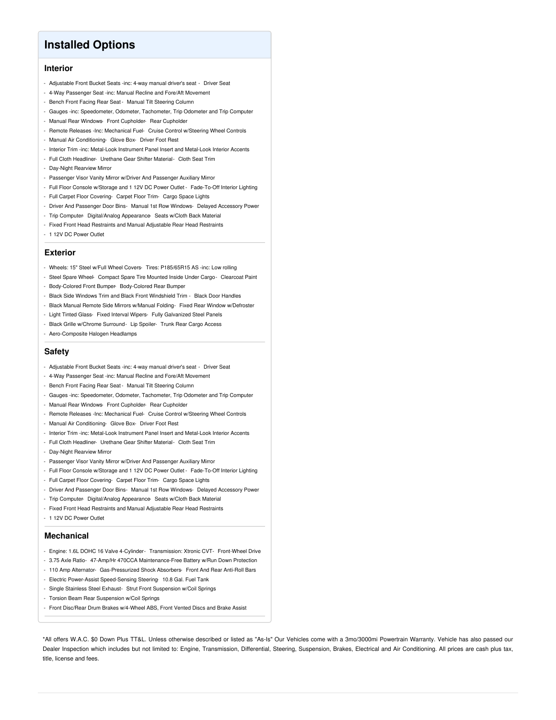## **Installed Options**

## **Interior**

- Adjustable Front Bucket Seats -inc: 4-way manual driver's seat Driver Seat
- 4-Way Passenger Seat -inc: Manual Recline and Fore/Aft Movement
- Bench Front Facing Rear Seat Manual Tilt Steering Column
- Gauges -inc: Speedometer, Odometer, Tachometer, Trip Odometer and Trip Computer
- Manual Rear Windows- Front Cupholder- Rear Cupholder
- Remote Releases -Inc: Mechanical Fuel- Cruise Control w/Steering Wheel Controls
- Manual Air Conditioning- Glove Box- Driver Foot Rest
- Interior Trim -inc: Metal-Look Instrument Panel Insert and Metal-Look Interior Accents
- Full Cloth Headliner- Urethane Gear Shifter Material- Cloth Seat Trim
- Day-Night Rearview Mirror
- Passenger Visor Vanity Mirror w/Driver And Passenger Auxiliary Mirror
- Full Floor Console w/Storage and 1 12V DC Power Outlet Fade-To-Off Interior Lighting
- Full Carpet Floor Covering- Carpet Floor Trim- Cargo Space Lights
- Driver And Passenger Door Bins- Manual 1st Row Windows- Delayed Accessory Power
- Trip Computer- Digital/Analog Appearance- Seats w/Cloth Back Material
- Fixed Front Head Restraints and Manual Adjustable Rear Head Restraints
- 1 12V DC Power Outlet

#### **Exterior**

- Wheels: 15" Steel w/Full Wheel Covers- Tires: P185/65R15 AS -inc: Low rolling
- Steel Spare Wheel- Compact Spare Tire Mounted Inside Under Cargo- Clearcoat Paint
- Body-Colored Front Bumper- Body-Colored Rear Bumper
- Black Side Windows Trim and Black Front Windshield Trim Black Door Handles
- Black Manual Remote Side Mirrors w/Manual Folding- Fixed Rear Window w/Defroster
- Light Tinted Glass- Fixed Interval Wipers- Fully Galvanized Steel Panels
- Black Grille w/Chrome Surround- Lip Spoiler- Trunk Rear Cargo Access
- Aero-Composite Halogen Headlamps

### **Safety**

- Adjustable Front Bucket Seats -inc: 4-way manual driver's seat Driver Seat
- 4-Way Passenger Seat -inc: Manual Recline and Fore/Aft Movement
- Bench Front Facing Rear Seat Manual Tilt Steering Column
- Gauges -inc: Speedometer, Odometer, Tachometer, Trip Odometer and Trip Computer
- Manual Rear Windows- Front Cupholder- Rear Cupholder
- Remote Releases -Inc: Mechanical Fuel- Cruise Control w/Steering Wheel Controls
- Manual Air Conditioning- Glove Box- Driver Foot Rest
- Interior Trim -inc: Metal-Look Instrument Panel Insert and Metal-Look Interior Accents
- Full Cloth Headliner- Urethane Gear Shifter Material- Cloth Seat Trim
- Day-Night Rearview Mirror
- Passenger Visor Vanity Mirror w/Driver And Passenger Auxiliary Mirror
- Full Floor Console w/Storage and 1 12V DC Power Outlet Fade-To-Off Interior Lighting
- Full Carpet Floor Covering- Carpet Floor Trim- Cargo Space Lights
- Driver And Passenger Door Bins- Manual 1st Row Windows- Delayed Accessory Power
- Trip Computer- Digital/Analog Appearance- Seats w/Cloth Back Material
- Fixed Front Head Restraints and Manual Adjustable Rear Head Restraints
- 1 12V DC Power Outlet

### **Mechanical**

- Engine: 1.6L DOHC 16 Valve 4-Cylinder- Transmission: Xtronic CVT- Front-Wheel Drive
- 3.75 Axle Ratio- 47-Amp/Hr 470CCA Maintenance-Free Battery w/Run Down Protection
- 110 Amp Alternator- Gas-Pressurized Shock Absorbers- Front And Rear Anti-Roll Bars
- Electric Power-Assist Speed-Sensing Steering- 10.8 Gal. Fuel Tank
- Single Stainless Steel Exhaust- Strut Front Suspension w/Coil Springs
- Torsion Beam Rear Suspension w/Coil Springs
- Front Disc/Rear Drum Brakes w/4-Wheel ABS, Front Vented Discs and Brake Assist

\*All offers W.A.C. \$0 Down Plus TT&L. Unless otherwise described or listed as "As-Is" Our Vehicles come with a 3mo/3000mi Powertrain Warranty. Vehicle has also passed our Dealer Inspection which includes but not limited to: Engine, Transmission, Differential, Steering, Suspension, Brakes, Electrical and Air Conditioning. All prices are cash plus tax, title, license and fees.